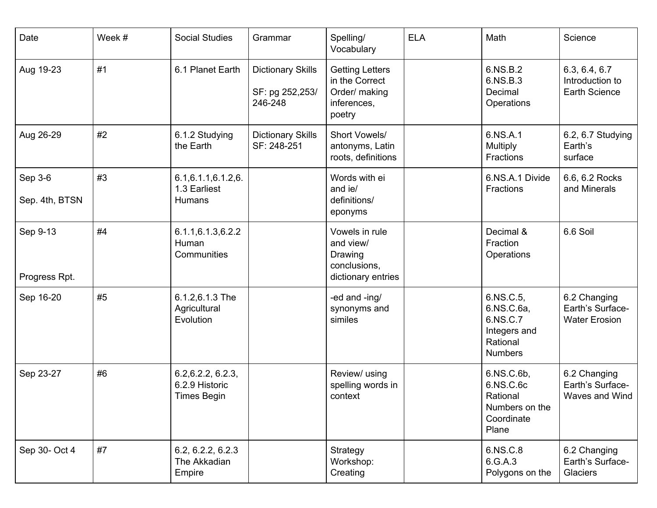| Date                      | Week # | <b>Social Studies</b>                                      | Grammar                                                | Spelling/<br>Vocabulary                                                            | <b>ELA</b> | Math                                                                              | Science                                                  |
|---------------------------|--------|------------------------------------------------------------|--------------------------------------------------------|------------------------------------------------------------------------------------|------------|-----------------------------------------------------------------------------------|----------------------------------------------------------|
| Aug 19-23                 | #1     | 6.1 Planet Earth                                           | <b>Dictionary Skills</b><br>SF: pg 252,253/<br>246-248 | <b>Getting Letters</b><br>in the Correct<br>Order/ making<br>inferences,<br>poetry |            | 6.NS.B.2<br>6.NS.B.3<br>Decimal<br>Operations                                     | 6.3, 6.4, 6.7<br>Introduction to<br>Earth Science        |
| Aug 26-29                 | #2     | 6.1.2 Studying<br>the Earth                                | <b>Dictionary Skills</b><br>SF: 248-251                | Short Vowels/<br>antonyms, Latin<br>roots, definitions                             |            | 6.NS.A.1<br>Multiply<br>Fractions                                                 | 6.2, 6.7 Studying<br>Earth's<br>surface                  |
| Sep 3-6<br>Sep. 4th, BTSN | #3     | 6.1, 6.1.1, 6.1.2, 6.<br>1.3 Earliest<br>Humans            |                                                        | Words with ei<br>and ie/<br>definitions/<br>eponyms                                |            | 6.NS.A.1 Divide<br>Fractions                                                      | 6.6, 6.2 Rocks<br>and Minerals                           |
| Sep 9-13<br>Progress Rpt. | #4     | 6.1.1, 6.1.3, 6.2.2<br>Human<br>Communities                |                                                        | Vowels in rule<br>and view/<br>Drawing<br>conclusions,<br>dictionary entries       |            | Decimal &<br>Fraction<br>Operations                                               | 6.6 Soil                                                 |
| Sep 16-20                 | #5     | 6.1.2,6.1.3 The<br>Agricultural<br>Evolution               |                                                        | -ed and -ing/<br>synonyms and<br>similes                                           |            | 6.NS.C.5,<br>6.NS.C.6a,<br>6.NS.C.7<br>Integers and<br>Rational<br><b>Numbers</b> | 6.2 Changing<br>Earth's Surface-<br><b>Water Erosion</b> |
| Sep 23-27                 | #6     | 6.2, 6.2.2, 6.2.3,<br>6.2.9 Historic<br><b>Times Begin</b> |                                                        | Review/ using<br>spelling words in<br>context                                      |            | 6.NS.C.6b,<br>6.NS.C.6c<br>Rational<br>Numbers on the<br>Coordinate<br>Plane      | 6.2 Changing<br>Earth's Surface-<br>Waves and Wind I     |
| Sep 30- Oct 4             | #7     | 6.2, 6.2.2, 6.2.3<br>The Akkadian<br>Empire                |                                                        | Strategy<br>Workshop:<br>Creating                                                  |            | 6.NS.C.8<br>6.G.A.3<br>Polygons on the                                            | 6.2 Changing<br>Earth's Surface-<br>Glaciers             |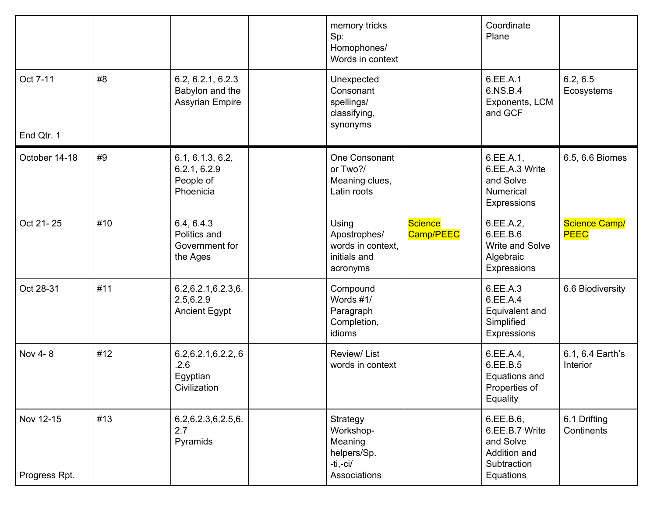|                            |     |                                                                | memory tricks<br>Sp:<br>Homophones/<br>Words in context                     |                      | Coordinate<br>Plane                                                                  |                              |
|----------------------------|-----|----------------------------------------------------------------|-----------------------------------------------------------------------------|----------------------|--------------------------------------------------------------------------------------|------------------------------|
| Oct 7-11<br>End Qtr. 1     | #8  | 6.2, 6.2.1, 6.2.3<br>Babylon and the<br><b>Assyrian Empire</b> | Unexpected<br>Consonant<br>spellings/<br>classifying,<br>synonyms           |                      | 6.EE.A.1<br>6.NS.B.4<br>Exponents, LCM<br>and GCF                                    | 6.2, 6.5<br>Ecosystems       |
| October 14-18              | #9  | 6.1, 6.1.3, 6.2,<br>6.2.1, 6.2.9<br>People of<br>Phoenicia     | One Consonant<br>or Two?/<br>Meaning clues,<br>Latin roots                  |                      | 6.EE.A.1,<br>6.EE.A.3 Write<br>and Solve<br><b>Numerical</b><br>Expressions          | 6.5, 6.6 Biomes              |
| Oct 21-25                  | #10 | 6.4, 6.4.3<br>Politics and<br>Government for<br>the Ages       | Using<br>Apostrophes/<br>words in context,<br>initials and<br>acronyms      | Science<br>Camp/PEEC | 6.EE.A.2,<br>6.EE.B.6<br>Write and Solve<br>Algebraic<br>Expressions                 | Science Camp/<br><b>PEEC</b> |
| Oct 28-31                  | #11 | 6.2, 6.2.1, 6.2.3, 6.<br>2.5, 6.2.9<br><b>Ancient Egypt</b>    | Compound<br>Words #1/<br>Paragraph<br>Completion,<br>idioms                 |                      | 6.EE.A.3<br>6.EE.A.4<br>Equivalent and<br>Simplified<br>Expressions                  | 6.6 Biodiversity             |
| Nov 4-8                    | #12 | 6.2, 6.2.1, 6.2.2, .6<br>.2.6<br>Egyptian<br>Civilization      | Review/List<br>words in context                                             |                      | 6.EE.A.4,<br>6.EE.B.5<br>Equations and<br>Properties of<br>Equality                  | 6.1, 6.4 Earth's<br>Interior |
| Nov 12-15<br>Progress Rpt. | #13 | 6.2,6.2.3,6.2.5,6.<br>2.7<br>Pyramids                          | Strategy<br>Workshop-<br>Meaning<br>helpers/Sp.<br>-ti,-ci/<br>Associations |                      | 6.EE.B.6,<br>6.EE.B.7 Write<br>and Solve<br>Addition and<br>Subtraction<br>Equations | 6.1 Drifting<br>Continents   |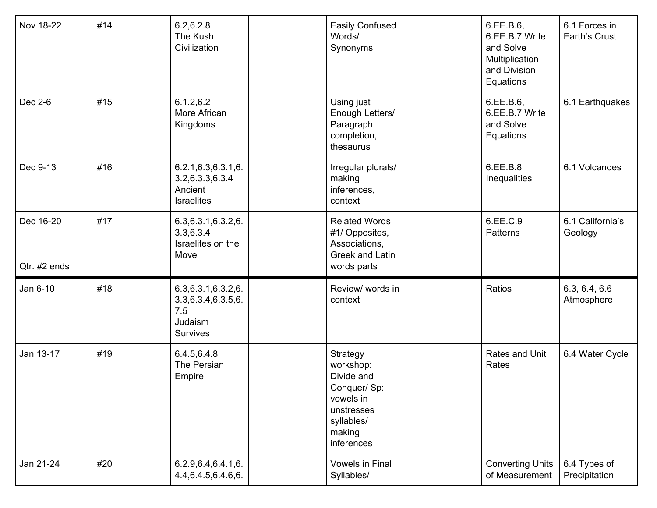| Nov 18-22                 | #14 | 6.2, 6.2.8<br>The Kush<br>Civilization                                           | Easily Confused<br>Words/<br>Synonyms                                                                                | 6.EE.B.6,<br>6.EE.B.7 Write<br>and Solve<br>Multiplication<br>and Division<br>Equations | 6.1 Forces in<br>Earth's Crust |
|---------------------------|-----|----------------------------------------------------------------------------------|----------------------------------------------------------------------------------------------------------------------|-----------------------------------------------------------------------------------------|--------------------------------|
| Dec 2-6                   | #15 | 6.1.2, 6.2<br>More African<br>Kingdoms                                           | Using just<br>Enough Letters/<br>Paragraph<br>completion,<br>thesaurus                                               | 6.EE.B.6,<br>6.EE.B.7 Write<br>and Solve<br>Equations                                   | 6.1 Earthquakes                |
| Dec 9-13                  | #16 | 6.2.1, 6.3, 6.3.1, 6.<br>3.2,6.3.3,6.3.4<br>Ancient<br><b>Israelites</b>         | Irregular plurals/<br>making<br>inferences,<br>context                                                               | 6.EE.B.8<br>Inequalities                                                                | 6.1 Volcanoes                  |
| Dec 16-20<br>Qtr. #2 ends | #17 | 6.3, 6.3.1, 6.3.2, 6.<br>3.3,6.3.4<br>Israelites on the<br>Move                  | <b>Related Words</b><br>#1/ Opposites,<br>Associations,<br>Greek and Latin<br>words parts                            | 6.EE.C.9<br>Patterns                                                                    | 6.1 California's<br>Geology    |
| Jan 6-10                  | #18 | 6.3, 6.3.1, 6.3.2, 6.<br>3.3,6.3.4,6.3.5,6.<br>7.5<br>Judaism<br><b>Survives</b> | Review/ words in<br>context                                                                                          | Ratios                                                                                  | 6.3, 6.4, 6.6<br>Atmosphere    |
| Jan 13-17                 | #19 | 6.4.5,6.4.8<br>The Persian<br>Empire                                             | Strategy<br>workshop:<br>Divide and<br>Conquer/ Sp:<br>vowels in<br>unstresses<br>syllables/<br>making<br>inferences | Rates and Unit<br>Rates                                                                 | 6.4 Water Cycle                |
| Jan 21-24                 | #20 | 6.2.9, 6.4, 6.4. 1, 6.<br>4.4, 6.4. 5, 6.4. 6, 6.                                | <b>Vowels in Final</b><br>Syllables/                                                                                 | <b>Converting Units</b><br>of Measurement                                               | 6.4 Types of<br>Precipitation  |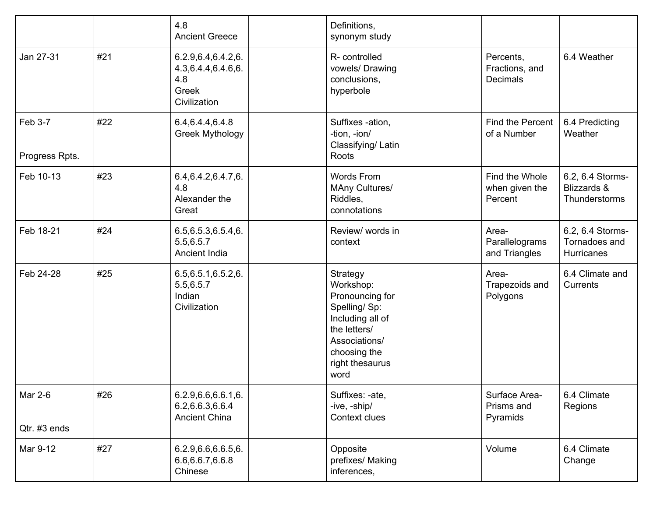|                           |     | 4.8<br><b>Ancient Greece</b>                                                      | Definitions,<br>synonym study                                                                                                                            |                                                |                                                  |
|---------------------------|-----|-----------------------------------------------------------------------------------|----------------------------------------------------------------------------------------------------------------------------------------------------------|------------------------------------------------|--------------------------------------------------|
| Jan 27-31                 | #21 | 6.2.9, 6.4, 6.4. 2, 6.<br>4.3, 6.4. 4, 6.4. 6, 6.<br>4.8<br>Greek<br>Civilization | R-controlled<br>vowels/ Drawing<br>conclusions,<br>hyperbole                                                                                             | Percents,<br>Fractions, and<br><b>Decimals</b> | 6.4 Weather                                      |
| Feb 3-7<br>Progress Rpts. | #22 | 6.4, 6.4. 4, 6.4. 8<br><b>Greek Mythology</b>                                     | Suffixes -ation,<br>-tion, -ion/<br>Classifying/Latin<br>Roots                                                                                           | Find the Percent<br>of a Number                | 6.4 Predicting<br>Weather                        |
| Feb 10-13                 | #23 | 6.4, 6.4. 2, 6.4. 7, 6.<br>4.8<br>Alexander the<br>Great                          | Words From<br>MAny Cultures/<br>Riddles,<br>connotations                                                                                                 | Find the Whole<br>when given the<br>Percent    | 6.2, 6.4 Storms-<br>Blizzards &<br>Thunderstorms |
| Feb 18-21                 | #24 | 6.5, 6.5. 3, 6.5. 4, 6.<br>5.5,6.5.7<br>Ancient India                             | Review/ words in<br>context                                                                                                                              | Area-<br>Parallelograms<br>and Triangles       | 6.2, 6.4 Storms-<br>Tornadoes and<br>Hurricanes  |
| Feb 24-28                 | #25 | 6.5, 6.5.1, 6.5.2, 6.<br>5.5,6.5.7<br>Indian<br>Civilization                      | Strategy<br>Workshop:<br>Pronouncing for<br>Spelling/Sp:<br>Including all of<br>the letters/<br>Associations/<br>choosing the<br>right thesaurus<br>word | Area-<br>Trapezoids and<br>Polygons            | 6.4 Climate and<br>Currents                      |
| Mar 2-6<br>Qtr. #3 ends   | #26 | 6.2.9, 6.6, 6.6.1, 6.<br>6.2,6.6.3,6.6.4<br><b>Ancient China</b>                  | Suffixes: -ate,<br>-ive, -ship/<br>Context clues                                                                                                         | Surface Area-<br>Prisms and<br>Pyramids        | 6.4 Climate<br>Regions                           |
| Mar 9-12                  | #27 | 6.2.9, 6.6, 6.6.5, 6.<br>6.6, 6.6. 7, 6.6. 8<br>Chinese                           | Opposite<br>prefixes/ Making<br>inferences,                                                                                                              | Volume                                         | 6.4 Climate<br>Change                            |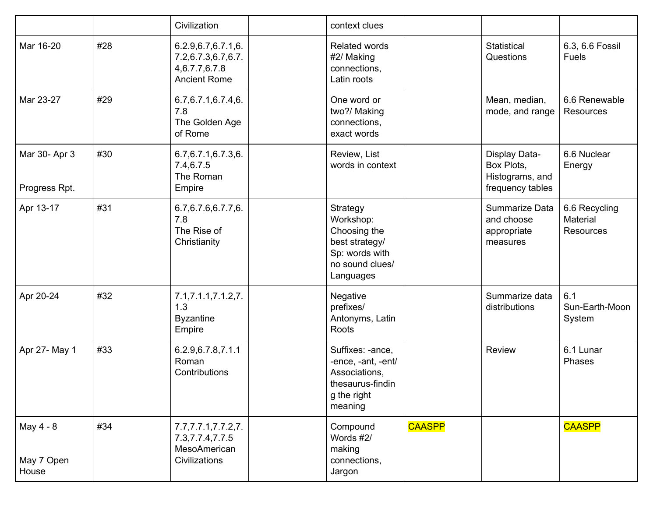|                                  |     | Civilization                                                                        | context clues                                                                                             |               |                                                                    |                                               |
|----------------------------------|-----|-------------------------------------------------------------------------------------|-----------------------------------------------------------------------------------------------------------|---------------|--------------------------------------------------------------------|-----------------------------------------------|
| Mar 16-20                        | #28 | 6.2.9, 6.7, 6.7.1, 6.<br>7.2,6.7.3,6.7,6.7.<br>4,6.7.7,6.7.8<br><b>Ancient Rome</b> | <b>Related words</b><br>#2/ Making<br>connections,<br>Latin roots                                         |               | Statistical<br>Questions                                           | 6.3, 6.6 Fossil<br>Fuels                      |
| Mar 23-27                        | #29 | 6.7, 6.7.1, 6.7.4, 6.<br>7.8<br>The Golden Age<br>of Rome                           | One word or<br>two?/ Making<br>connections,<br>exact words                                                |               | Mean, median,<br>mode, and range                                   | 6.6 Renewable<br><b>Resources</b>             |
| Mar 30- Apr 3<br>Progress Rpt.   | #30 | 6.7, 6.7.1, 6.7.3, 6.<br>7.4,6.7.5<br>The Roman<br>Empire                           | Review, List<br>words in context                                                                          |               | Display Data-<br>Box Plots,<br>Histograms, and<br>frequency tables | 6.6 Nuclear<br>Energy                         |
| Apr 13-17                        | #31 | 6.7, 6.7. 6, 6.7. 7, 6.<br>7.8<br>The Rise of<br>Christianity                       | Strategy<br>Workshop:<br>Choosing the<br>best strategy/<br>Sp: words with<br>no sound clues/<br>Languages |               | Summarize Data<br>and choose<br>appropriate<br>measures            | 6.6 Recycling<br>Material<br><b>Resources</b> |
| Apr 20-24                        | #32 | 7.1, 7.1.1, 7.1.2, 7.<br>1.3<br><b>Byzantine</b><br>Empire                          | Negative<br>prefixes/<br>Antonyms, Latin<br>Roots                                                         |               | Summarize data<br>distributions                                    | 6.1<br>Sun-Earth-Moon<br>System               |
| Apr 27- May 1                    | #33 | 6.2.9, 6.7.8, 7.1.1<br>Roman<br>Contributions                                       | Suffixes: -ance,<br>-ence, -ant, -ent/<br>Associations,<br>thesaurus-findin<br>g the right<br>meaning     |               | Review                                                             | 6.1 Lunar<br>Phases                           |
| May 4 - 8<br>May 7 Open<br>House | #34 | 7.7, 7.7.1, 7.7.2, 7.<br>7.3, 7.7.4, 7.7.5<br>MesoAmerican<br>Civilizations         | Compound<br>Words #2/<br>making<br>connections,<br>Jargon                                                 | <b>CAASPP</b> |                                                                    | <b>CAASPP</b>                                 |